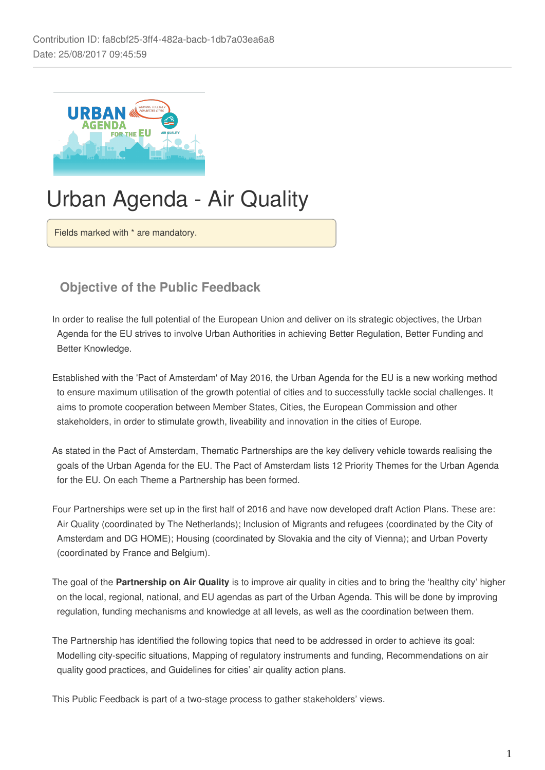

# Urban Agenda - Air Quality

Fields marked with \* are mandatory.

## **Objective of the Public Feedback**

In order to realise the full potential of the European Union and deliver on its strategic objectives, the Urban Agenda for the EU strives to involve Urban Authorities in achieving Better Regulation, Better Funding and Better Knowledge.

Established with the 'Pact of Amsterdam' of May 2016, the Urban Agenda for the EU is a new working method to ensure maximum utilisation of the growth potential of cities and to successfully tackle social challenges. It aims to promote cooperation between Member States, Cities, the European Commission and other stakeholders, in order to stimulate growth, liveability and innovation in the cities of Europe.

As stated in the Pact of Amsterdam, Thematic Partnerships are the key delivery vehicle towards realising the goals of the Urban Agenda for the EU. The Pact of Amsterdam lists 12 Priority Themes for the Urban Agenda for the EU. On each Theme a Partnership has been formed.

Four Partnerships were set up in the first half of 2016 and have now developed draft Action Plans. These are: Air Quality (coordinated by The Netherlands); Inclusion of Migrants and refugees (coordinated by the City of Amsterdam and DG HOME); Housing (coordinated by Slovakia and the city of Vienna); and Urban Poverty (coordinated by France and Belgium).

The goal of the **Partnership on Air Quality** is to improve air quality in cities and to bring the 'healthy city' higher on the local, regional, national, and EU agendas as part of the Urban Agenda. This will be done by improving regulation, funding mechanisms and knowledge at all levels, as well as the coordination between them.

The Partnership has identified the following topics that need to be addressed in order to achieve its goal: Modelling city-specific situations, Mapping of regulatory instruments and funding, Recommendations on air quality good practices, and Guidelines for cities' air quality action plans.

This Public Feedback is part of a two-stage process to gather stakeholders' views.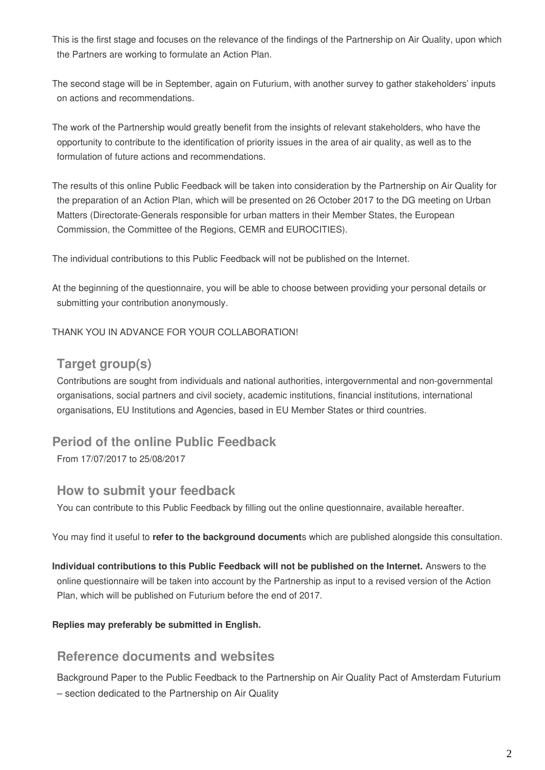This is the first stage and focuses on the relevance of the findings of the Partnership on Air Quality, upon which the Partners are working to formulate an Action Plan.

The second stage will be in September, again on Futurium, with another survey to gather stakeholders' inputs on actions and recommendations.

The work of the Partnership would greatly benefit from the insights of relevant stakeholders, who have the opportunity to contribute to the identification of priority issues in the area of air quality, as well as to the formulation of future actions and recommendations.

The results of this online Public Feedback will be taken into consideration by the Partnership on Air Quality for the preparation of an Action Plan, which will be presented on 26 October 2017 to the DG meeting on Urban Matters (Directorate-Generals responsible for urban matters in their Member States, the European Commission, the Committee of the Regions, CEMR and EUROCITIES).

The individual contributions to this Public Feedback will not be published on the Internet.

At the beginning of the questionnaire, you will be able to choose between providing your personal details or submitting your contribution anonymously.

#### THANK YOU IN ADVANCE FOR YOUR COLLABORATION!

### **Target group(s)**

Contributions are sought from individuals and national authorities, intergovernmental and non-governmental organisations, social partners and civil society, academic institutions, financial institutions, international organisations, EU Institutions and Agencies, based in EU Member States or third countries.

### **Period of the online Public Feedback**

From 17/07/2017 to 25/08/2017

#### **How to submit your feedback**

You can contribute to this Public Feedback by filling out the online questionnaire, available hereafter.

You may find it useful to **refer to the background document**s which are published alongside this consultation.

**Individual contributions to this Public Feedback will not be published on the Internet.** Answers to the online questionnaire will be taken into account by the Partnership as input to a revised version of the Action Plan, which will be published on Futurium before the end of 2017.

#### **Replies may preferably be submitted in English.**

#### **Reference documents and websites**

Background Paper to the Public Feedback to the Partnership on Air Quality Pact of Amsterdam Futurium – section dedicated to the Partnership on Air Quality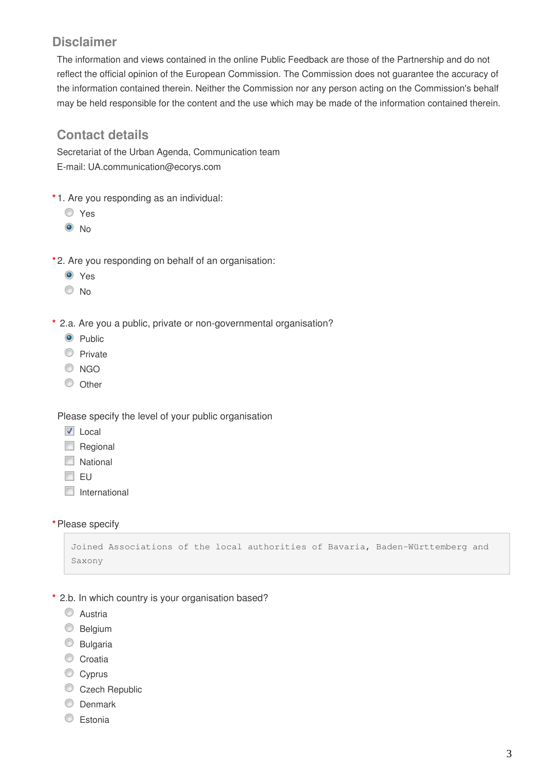## **Disclaimer**

The information and views contained in the online Public Feedback are those of the Partnership and do not reflect the official opinion of the European Commission. The Commission does not guarantee the accuracy of the information contained therein. Neither the Commission nor any person acting on the Commission's behalf may be held responsible for the content and the use which may be made of the information contained therein.

### **Contact details**

Secretariat of the Urban Agenda, Communication team E-mail: UA.communication@ecorys.com

- **\*** 1. Are you responding as an individual:
	- Yes
	- $\odot$  No
- **\*** 2. Are you responding on behalf of an organisation:
	- **O** Yes
	- $\odot$  No
- **\*** 2.a. Are you a public, private or non-governmental organisation?
	- <sup>O</sup> Public
	- C Private
	- C NGO
	- $\circ$  Other

Please specify the level of your public organisation

- **V** Local
- Regional
- **National**
- $\Box$  EU
- $\Box$  International
- **\***Please specify

```
Joined Associations of the local authorities of Bavaria, Baden-Württemberg and 
Saxony
```
- **\*** 2.b. In which country is your organisation based?
	- C Austria
	- **Belgium**
	- C Bulgaria
	- Croatia
	- Cyprus
	- Czech Republic
	- **O** Denmark
	- C Estonia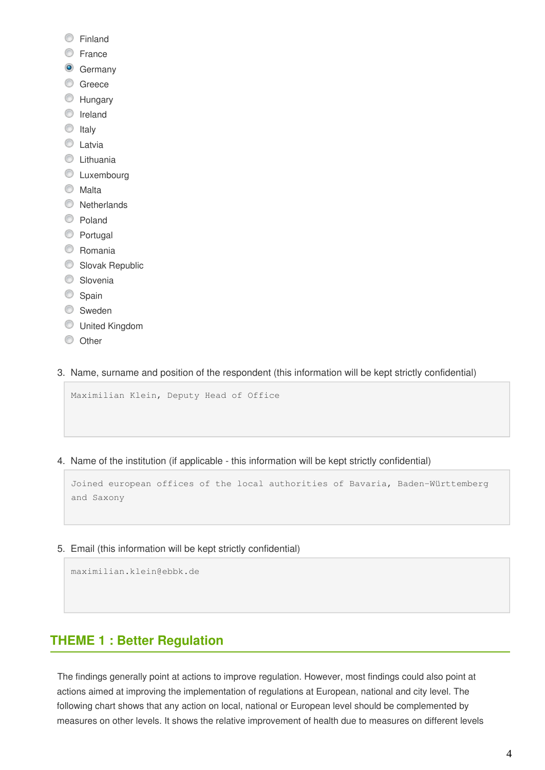- **C** Finland
- **E**rance
- **G** Germany
- C Greece
- **Hungary**
- **O** Ireland
- $\circ$  Italy
- **C** Latvia
- **C** Lithuania
- **C** Luxembourg
- C Malta
- **Netherlands**
- C Poland
- **Portugal**
- C Romania
- Slovak Republic
- **Slovenia**
- Spain
- **Sweden**
- United Kingdom
- $\circ$  Other
- 3. Name, surname and position of the respondent (this information will be kept strictly confidential)

Maximilian Klein, Deputy Head of Office

4. Name of the institution (if applicable - this information will be kept strictly confidential)

Joined european offices of the local authorities of Bavaria, Baden-Württemberg and Saxony

5. Email (this information will be kept strictly confidential)

maximilian.klein@ebbk.de

# **THEME 1 : Better Regulation**

The findings generally point at actions to improve regulation. However, most findings could also point at actions aimed at improving the implementation of regulations at European, national and city level. The following chart shows that any action on local, national or European level should be complemented by measures on other levels. It shows the relative improvement of health due to measures on different levels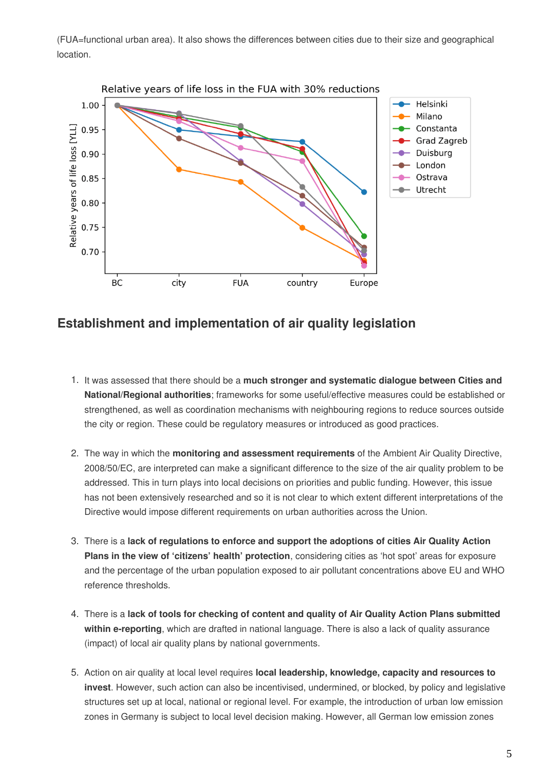(FUA=functional urban area). It also shows the differences between cities due to their size and geographical location.



### **Establishment and implementation of air quality legislation**

- 1. It was assessed that there should be a **much stronger and systematic dialogue between Cities and National/Regional authorities**; frameworks for some useful/effective measures could be established or strengthened, as well as coordination mechanisms with neighbouring regions to reduce sources outside the city or region. These could be regulatory measures or introduced as good practices.
- 2. The way in which the **monitoring and assessment requirements** of the Ambient Air Quality Directive, 2008/50/EC, are interpreted can make a significant difference to the size of the air quality problem to be addressed. This in turn plays into local decisions on priorities and public funding. However, this issue has not been extensively researched and so it is not clear to which extent different interpretations of the Directive would impose different requirements on urban authorities across the Union.
- 3. There is a **lack of regulations to enforce and support the adoptions of cities Air Quality Action Plans in the view of 'citizens' health' protection**, considering cities as 'hot spot' areas for exposure and the percentage of the urban population exposed to air pollutant concentrations above EU and WHO reference thresholds.
- 4. There is a **lack of tools for checking of content and quality of Air Quality Action Plans submitted within e-reporting**, which are drafted in national language. There is also a lack of quality assurance (impact) of local air quality plans by national governments.
- 5. Action on air quality at local level requires **local leadership, knowledge, capacity and resources to invest**. However, such action can also be incentivised, undermined, or blocked, by policy and legislative structures set up at local, national or regional level. For example, the introduction of urban low emission zones in Germany is subject to local level decision making. However, all German low emission zones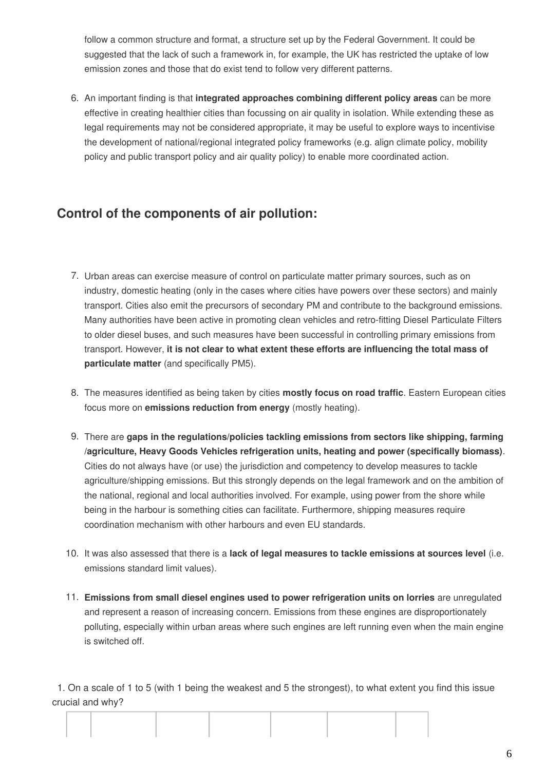follow a common structure and format, a structure set up by the Federal Government. It could be suggested that the lack of such a framework in, for example, the UK has restricted the uptake of low emission zones and those that do exist tend to follow very different patterns.

6. An important finding is that **integrated approaches combining different policy areas** can be more effective in creating healthier cities than focussing on air quality in isolation. While extending these as legal requirements may not be considered appropriate, it may be useful to explore ways to incentivise the development of national/regional integrated policy frameworks (e.g. align climate policy, mobility policy and public transport policy and air quality policy) to enable more coordinated action.

# **Control of the components of air pollution:**

- 7. Urban areas can exercise measure of control on particulate matter primary sources, such as on industry, domestic heating (only in the cases where cities have powers over these sectors) and mainly transport. Cities also emit the precursors of secondary PM and contribute to the background emissions. Many authorities have been active in promoting clean vehicles and retro-fitting Diesel Particulate Filters to older diesel buses, and such measures have been successful in controlling primary emissions from transport. However, **it is not clear to what extent these efforts are influencing the total mass of particulate matter** (and specifically PM5).
- 8. The measures identified as being taken by cities **mostly focus on road traffic**. Eastern European cities focus more on **emissions reduction from energy** (mostly heating).
- 9. There are **gaps in the regulations/policies tackling emissions from sectors like shipping, farming /agriculture, Heavy Goods Vehicles refrigeration units, heating and power (specifically biomass)**. Cities do not always have (or use) the jurisdiction and competency to develop measures to tackle agriculture/shipping emissions. But this strongly depends on the legal framework and on the ambition of the national, regional and local authorities involved. For example, using power from the shore while being in the harbour is something cities can facilitate. Furthermore, shipping measures require coordination mechanism with other harbours and even EU standards.
- 10. It was also assessed that there is a **lack of legal measures to tackle emissions at sources level** (i.e. emissions standard limit values).
- 11. **Emissions from small diesel engines used to power refrigeration units on lorries** are unregulated and represent a reason of increasing concern. Emissions from these engines are disproportionately polluting, especially within urban areas where such engines are left running even when the main engine is switched off.

1. On a scale of 1 to 5 (with 1 being the weakest and 5 the strongest), to what extent you find this issue crucial and why?

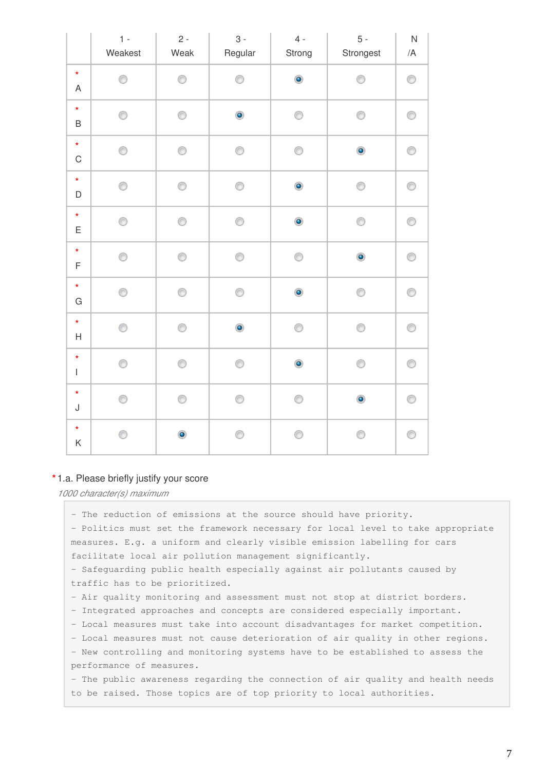|                                                                                                                                                                                                                                                                                                                                                                                                                           | $1 -$<br>Weakest | $2 -$<br>Weak | $3 -$<br>Regular | $4 -$<br>Strong | $5 -$<br>Strongest | ${\sf N}$<br>/A |
|---------------------------------------------------------------------------------------------------------------------------------------------------------------------------------------------------------------------------------------------------------------------------------------------------------------------------------------------------------------------------------------------------------------------------|------------------|---------------|------------------|-----------------|--------------------|-----------------|
| $\star$<br>A                                                                                                                                                                                                                                                                                                                                                                                                              | ⊙                | ⊙             | ⊙                | $\bullet$       | ⊙                  | ⊙               |
| $\star$<br>B                                                                                                                                                                                                                                                                                                                                                                                                              | ⊙                | 0             | $\bullet$        | 0               | ⊙                  | 0               |
| $\star$<br>$\mathsf C$                                                                                                                                                                                                                                                                                                                                                                                                    | 0                | 0             | 0                | 0               | $\bullet$          | 0               |
| $\star$<br>D                                                                                                                                                                                                                                                                                                                                                                                                              | ⊙                | 0             | 0                | $\bullet$       | 0                  | 0               |
| $\star$<br>E                                                                                                                                                                                                                                                                                                                                                                                                              | ⊙                | ⊙             | ⊙                | $\bullet$       | ⊙                  | ⊙               |
| $\star$<br>F                                                                                                                                                                                                                                                                                                                                                                                                              | 0                | 0             | 0                | 0               | $\bullet$          | 0               |
| $\star$<br>G                                                                                                                                                                                                                                                                                                                                                                                                              | 0                | 0             | 0                | $\bullet$       | 0                  | 0               |
| $\star$<br>Н                                                                                                                                                                                                                                                                                                                                                                                                              | 0                | 0             | $\bullet$        | 0               | 0                  | 0               |
| $\star$<br>$\begin{array}{c} \rule{0pt}{2ex} \rule{0pt}{2ex} \rule{0pt}{2ex} \rule{0pt}{2ex} \rule{0pt}{2ex} \rule{0pt}{2ex} \rule{0pt}{2ex} \rule{0pt}{2ex} \rule{0pt}{2ex} \rule{0pt}{2ex} \rule{0pt}{2ex} \rule{0pt}{2ex} \rule{0pt}{2ex} \rule{0pt}{2ex} \rule{0pt}{2ex} \rule{0pt}{2ex} \rule{0pt}{2ex} \rule{0pt}{2ex} \rule{0pt}{2ex} \rule{0pt}{2ex} \rule{0pt}{2ex} \rule{0pt}{2ex} \rule{0pt}{2ex} \rule{0pt}{$ | ⊙                | ⊙             | ⊙                | $\bullet$       | ⊙                  | ⊙               |
| $\star$<br>J                                                                                                                                                                                                                                                                                                                                                                                                              | 0                | ⊙             | 0                | 0               | $\bullet$          | 0               |
| $\star$<br>Κ                                                                                                                                                                                                                                                                                                                                                                                                              | 0                | $\bullet$     | 0                | 0               | 0                  | 0               |

#### **\*** 1.a. Please briefly justify your score

*1000 character(s) maximum*

- The reduction of emissions at the source should have priority. - Politics must set the framework necessary for local level to take appropriate measures. E.g. a uniform and clearly visible emission labelling for cars facilitate local air pollution management significantly.

- Safeguarding public health especially against air pollutants caused by traffic has to be prioritized.

- Air quality monitoring and assessment must not stop at district borders.

- Integrated approaches and concepts are considered especially important.

- Local measures must take into account disadvantages for market competition.

- Local measures must not cause deterioration of air quality in other regions.

- New controlling and monitoring systems have to be established to assess the performance of measures.

- The public awareness regarding the connection of air quality and health needs to be raised. Those topics are of top priority to local authorities.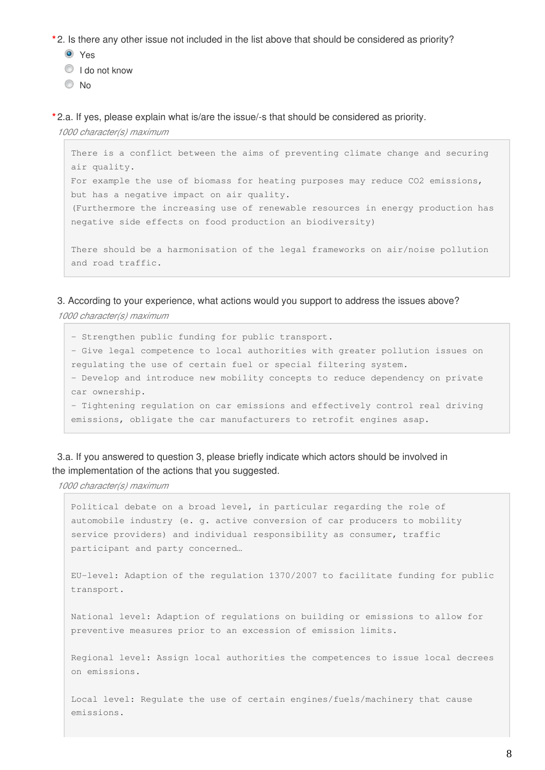**\*** 2. Is there any other issue not included in the list above that should be considered as priority?

**O** Yes

- I do not know
- No

**\*** 2.a. If yes, please explain what is/are the issue/-s that should be considered as priority.

*1000 character(s) maximum*

```
There is a conflict between the aims of preventing climate change and securing 
air quality.
For example the use of biomass for heating purposes may reduce CO2 emissions, 
but has a negative impact on air quality. 
(Furthermore the increasing use of renewable resources in energy production has 
negative side effects on food production an biodiversity)
There should be a harmonisation of the legal frameworks on air/noise pollution 
and road traffic.
```
3. According to your experience, what actions would you support to address the issues above? *1000 character(s) maximum*

- Strengthen public funding for public transport. - Give legal competence to local authorities with greater pollution issues on regulating the use of certain fuel or special filtering system. - Develop and introduce new mobility concepts to reduce dependency on private car ownership. - Tightening regulation on car emissions and effectively control real driving emissions, obligate the car manufacturers to retrofit engines asap.

#### 3.a. If you answered to question 3, please briefly indicate which actors should be involved in the implementation of the actions that you suggested.

*1000 character(s) maximum*

Political debate on a broad level, in particular regarding the role of automobile industry (e. g. active conversion of car producers to mobility service providers) and individual responsibility as consumer, traffic participant and party concerned…

EU-level: Adaption of the regulation 1370/2007 to facilitate funding for public transport.

National level: Adaption of regulations on building or emissions to allow for preventive measures prior to an excession of emission limits.

Regional level: Assign local authorities the competences to issue local decrees on emissions.

Local level: Regulate the use of certain engines/fuels/machinery that cause emissions.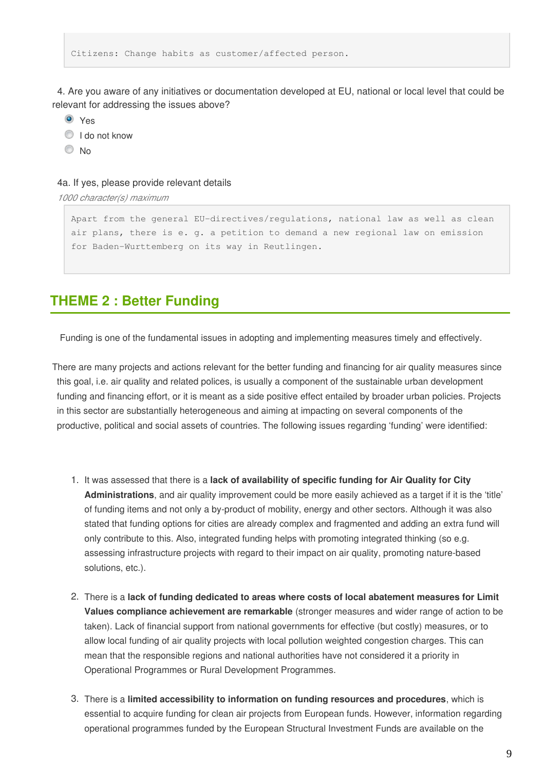Citizens: Change habits as customer/affected person.

4. Are you aware of any initiatives or documentation developed at EU, national or local level that could be relevant for addressing the issues above?

**O** Yes

<sup>1</sup> I do not know

No

#### 4a. If yes, please provide relevant details

*1000 character(s) maximum*

```
Apart from the general EU-directives/regulations, national law as well as clean 
air plans, there is e. g. a petition to demand a new regional law on emission 
for Baden-Wurttemberg on its way in Reutlingen.
```
### **THEME 2 : Better Funding**

Funding is one of the fundamental issues in adopting and implementing measures timely and effectively.

There are many projects and actions relevant for the better funding and financing for air quality measures since this goal, i.e. air quality and related polices, is usually a component of the sustainable urban development funding and financing effort, or it is meant as a side positive effect entailed by broader urban policies. Projects in this sector are substantially heterogeneous and aiming at impacting on several components of the productive, political and social assets of countries. The following issues regarding 'funding' were identified:

- 1. It was assessed that there is a **lack of availability of specific funding for Air Quality for City Administrations**, and air quality improvement could be more easily achieved as a target if it is the 'title' of funding items and not only a by-product of mobility, energy and other sectors. Although it was also stated that funding options for cities are already complex and fragmented and adding an extra fund will only contribute to this. Also, integrated funding helps with promoting integrated thinking (so e.g. assessing infrastructure projects with regard to their impact on air quality, promoting nature-based solutions, etc.).
- 2. There is a **lack of funding dedicated to areas where costs of local abatement measures for Limit Values compliance achievement are remarkable** (stronger measures and wider range of action to be taken). Lack of financial support from national governments for effective (but costly) measures, or to allow local funding of air quality projects with local pollution weighted congestion charges. This can mean that the responsible regions and national authorities have not considered it a priority in Operational Programmes or Rural Development Programmes.
- 3. There is a **limited accessibility to information on funding resources and procedures**, which is essential to acquire funding for clean air projects from European funds. However, information regarding operational programmes funded by the European Structural Investment Funds are available on the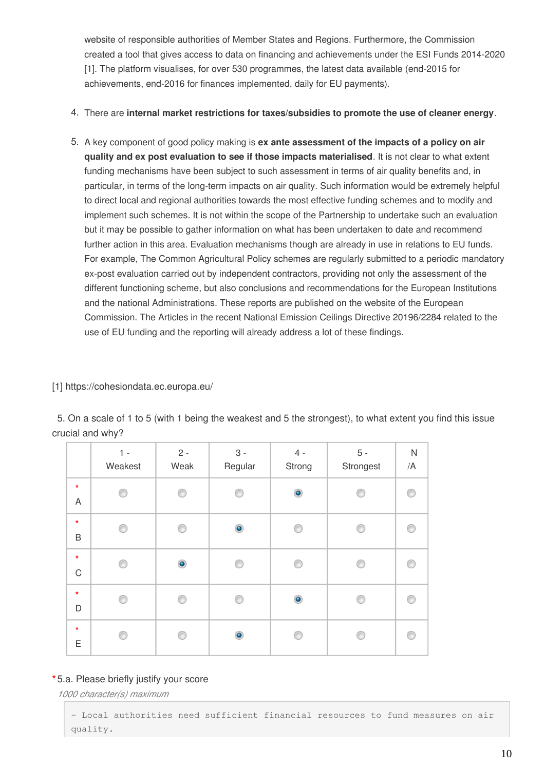website of responsible authorities of Member States and Regions. Furthermore, the Commission created a tool that gives access to data on financing and achievements under the ESI Funds 2014-2020 [1]. The platform visualises, for over 530 programmes, the latest data available (end-2015 for achievements, end-2016 for finances implemented, daily for EU payments).

- 4. There are **internal market restrictions for taxes/subsidies to promote the use of cleaner energy**.
- 5. A key component of good policy making is **ex ante assessment of the impacts of a policy on air quality and ex post evaluation to see if those impacts materialised**. It is not clear to what extent funding mechanisms have been subject to such assessment in terms of air quality benefits and, in particular, in terms of the long-term impacts on air quality. Such information would be extremely helpful to direct local and regional authorities towards the most effective funding schemes and to modify and implement such schemes. It is not within the scope of the Partnership to undertake such an evaluation but it may be possible to gather information on what has been undertaken to date and recommend further action in this area. Evaluation mechanisms though are already in use in relations to EU funds. For example, The Common Agricultural Policy schemes are regularly submitted to a periodic mandatory ex-post evaluation carried out by independent contractors, providing not only the assessment of the different functioning scheme, but also conclusions and recommendations for the European Institutions and the national Administrations. These reports are published on the website of the European Commission. The Articles in the recent National Emission Ceilings Directive 20196/2284 related to the use of EU funding and the reporting will already address a lot of these findings.

#### [1] https://cohesiondata.ec.europa.eu/

5. On a scale of 1 to 5 (with 1 being the weakest and 5 the strongest), to what extent you find this issue crucial and why?

|                           | $1 -$<br>Weakest | $2$ - $\,$<br>Weak | $3 -$<br>Regular | $4 -$<br>Strong | $5 -$<br>Strongest | ${\sf N}$<br>/A |
|---------------------------|------------------|--------------------|------------------|-----------------|--------------------|-----------------|
| $\star$<br>$\overline{A}$ | ⋒                | ⊙                  | ⋒                | $\bullet$       | ◎                  | P               |
| $\star$<br>B              | ⋒                | ∩                  | $\bullet$        | ⊙               | ⋒                  | œ               |
| $\star$<br>$\mathbf C$    | ∩                | $\bullet$          | ∩                | ⊙               | ∩                  |                 |
| $\star$<br>D              | ∩                | ⊙                  | ⋒                | $\bullet$       | ∩                  | P               |
| $\star$<br>E              | ⋒                | ∩                  | $\bullet$        | ∩               | ⋒                  |                 |

#### **\*** 5.a. Please briefly justify your score

*1000 character(s) maximum*

- Local authorities need sufficient financial resources to fund measures on air quality.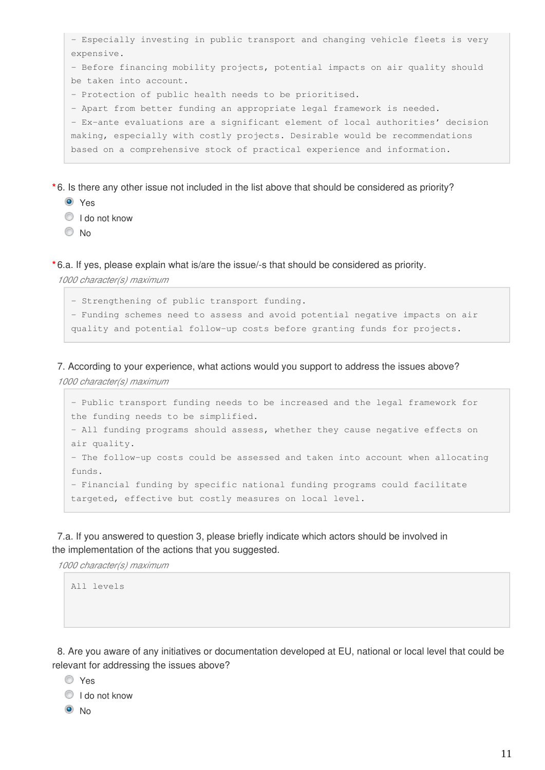| - Especially investing in public transport and changing vehicle fleets is very |  |  |  |  |  |  |  |
|--------------------------------------------------------------------------------|--|--|--|--|--|--|--|
| expensive.                                                                     |  |  |  |  |  |  |  |
| - Before financing mobility projects, potential impacts on air quality should  |  |  |  |  |  |  |  |
| be taken into account.                                                         |  |  |  |  |  |  |  |
| - Protection of public health needs to be prioritised.                         |  |  |  |  |  |  |  |
| - Apart from better funding an appropriate legal framework is needed.          |  |  |  |  |  |  |  |
| - Ex-ante evaluations are a significant element of local authorities' decision |  |  |  |  |  |  |  |
| making, especially with costly projects. Desirable would be recommendations    |  |  |  |  |  |  |  |
| based on a comprehensive stock of practical experience and information.        |  |  |  |  |  |  |  |
|                                                                                |  |  |  |  |  |  |  |

**\*** 6. Is there any other issue not included in the list above that should be considered as priority?

- **O** Yes
- $\textcircled{1}$  I do not know
- No

**\*** 6.a. If yes, please explain what is/are the issue/-s that should be considered as priority.

*1000 character(s) maximum*

- Strengthening of public transport funding. - Funding schemes need to assess and avoid potential negative impacts on air quality and potential follow-up costs before granting funds for projects.

7. According to your experience, what actions would you support to address the issues above?

*1000 character(s) maximum*

```
- Public transport funding needs to be increased and the legal framework for 
the funding needs to be simplified.
- All funding programs should assess, whether they cause negative effects on 
air quality.
- The follow-up costs could be assessed and taken into account when allocating 
funds. 
- Financial funding by specific national funding programs could facilitate 
targeted, effective but costly measures on local level.
```
7.a. If you answered to question 3, please briefly indicate which actors should be involved in the implementation of the actions that you suggested.

*1000 character(s) maximum*

All levels

8. Are you aware of any initiatives or documentation developed at EU, national or local level that could be relevant for addressing the issues above?

Yes

<sup>1</sup> I do not know

 $\odot$  No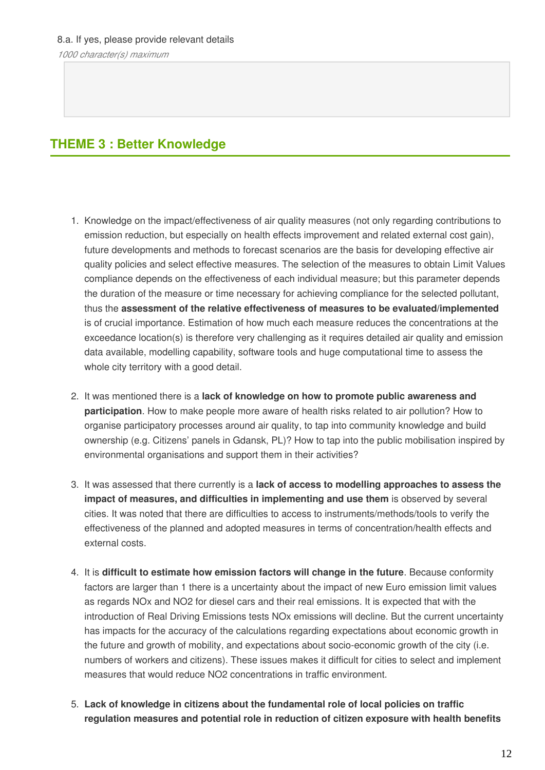*1000 character(s) maximum*

### **THEME 3 : Better Knowledge**

- 1. Knowledge on the impact/effectiveness of air quality measures (not only regarding contributions to emission reduction, but especially on health effects improvement and related external cost gain), future developments and methods to forecast scenarios are the basis for developing effective air quality policies and select effective measures. The selection of the measures to obtain Limit Values compliance depends on the effectiveness of each individual measure; but this parameter depends the duration of the measure or time necessary for achieving compliance for the selected pollutant, thus the **assessment of the relative effectiveness of measures to be evaluated/implemented** is of crucial importance. Estimation of how much each measure reduces the concentrations at the exceedance location(s) is therefore very challenging as it requires detailed air quality and emission data available, modelling capability, software tools and huge computational time to assess the whole city territory with a good detail.
- 2. It was mentioned there is a **lack of knowledge on how to promote public awareness and participation**. How to make people more aware of health risks related to air pollution? How to organise participatory processes around air quality, to tap into community knowledge and build ownership (e.g. Citizens' panels in Gdansk, PL)? How to tap into the public mobilisation inspired by environmental organisations and support them in their activities?
- 3. It was assessed that there currently is a **lack of access to modelling approaches to assess the impact of measures, and difficulties in implementing and use them** is observed by several cities. It was noted that there are difficulties to access to instruments/methods/tools to verify the effectiveness of the planned and adopted measures in terms of concentration/health effects and external costs.
- 4. It is **difficult to estimate how emission factors will change in the future**. Because conformity factors are larger than 1 there is a uncertainty about the impact of new Euro emission limit values as regards NOx and NO2 for diesel cars and their real emissions. It is expected that with the introduction of Real Driving Emissions tests NOx emissions will decline. But the current uncertainty has impacts for the accuracy of the calculations regarding expectations about economic growth in the future and growth of mobility, and expectations about socio-economic growth of the city (i.e. numbers of workers and citizens). These issues makes it difficult for cities to select and implement measures that would reduce NO2 concentrations in traffic environment.
- 5. **Lack of knowledge in citizens about the fundamental role of local policies on traffic regulation measures and potential role in reduction of citizen exposure with health benefits**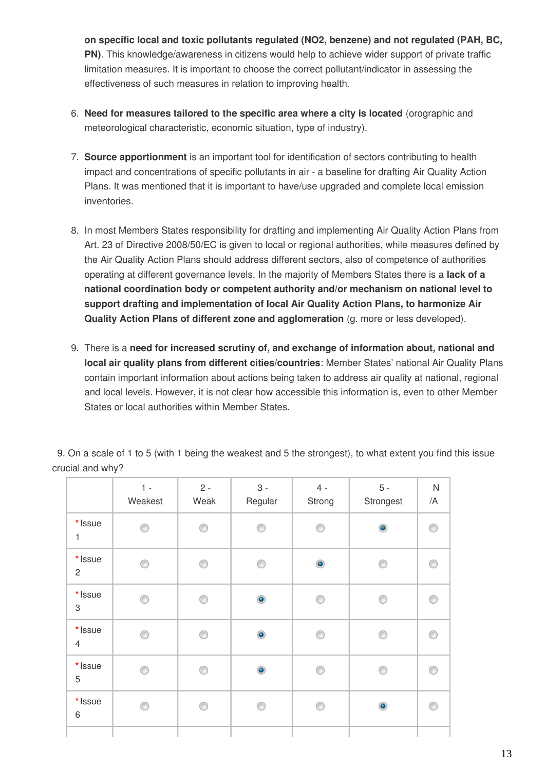**on specific local and toxic pollutants regulated (NO2, benzene) and not regulated (PAH, BC, PN)**. This knowledge/awareness in citizens would help to achieve wider support of private traffic limitation measures. It is important to choose the correct pollutant/indicator in assessing the effectiveness of such measures in relation to improving health.

- 6. **Need for measures tailored to the specific area where a city is located** (orographic and meteorological characteristic, economic situation, type of industry).
- 7. **Source apportionment** is an important tool for identification of sectors contributing to health impact and concentrations of specific pollutants in air - a baseline for drafting Air Quality Action Plans. It was mentioned that it is important to have/use upgraded and complete local emission inventories.
- 8. In most Members States responsibility for drafting and implementing Air Quality Action Plans from Art. 23 of Directive 2008/50/EC is given to local or regional authorities, while measures defined by the Air Quality Action Plans should address different sectors, also of competence of authorities operating at different governance levels. In the majority of Members States there is a **lack of a national coordination body or competent authority and/or mechanism on national level to support drafting and implementation of local Air Quality Action Plans, to harmonize Air Quality Action Plans of different zone and agglomeration** (g. more or less developed).
- 9. There is a **need for increased scrutiny of, and exchange of information about, national and local air quality plans from different cities/countries**: Member States' national Air Quality Plans contain important information about actions being taken to address air quality at national, regional and local levels. However, it is not clear how accessible this information is, even to other Member States or local authorities within Member States.

|                                  | $1 -$<br>Weakest | $2 -$<br>Weak | $3 -$<br>Regular | $4 -$<br>Strong | $5 -$<br>Strongest | ${\sf N}$<br>/A |
|----------------------------------|------------------|---------------|------------------|-----------------|--------------------|-----------------|
| * Issue<br>$\mathbf{1}$          | ∩                | 0             | ⊙                | ⊙               | $\bullet$          | ⋒               |
| * Issue<br>$\mathbf{2}^{\prime}$ | ⊙                | ⊙             | 0                | $\bullet$       | ⊙                  | ⋒               |
| * Issue<br>$\,3$                 | ⊙                | ◉             | $\bullet$        | ⊙               | ⊙                  | ⋒               |
| * Issue<br>$\overline{4}$        | ⋒                | ⊙             | $\bullet$        | ⊙               | ⋒                  |                 |
| * Issue<br>5                     | ⋒                | ⊙             | $\bullet$        | ∩               | ∩                  |                 |
| * Issue<br>6                     | ⊙                | ⊙             | ⊙                | ⊙               | $\bullet$          | ⋒               |
|                                  |                  |               |                  |                 |                    |                 |

9. On a scale of 1 to 5 (with 1 being the weakest and 5 the strongest), to what extent you find this issue crucial and why?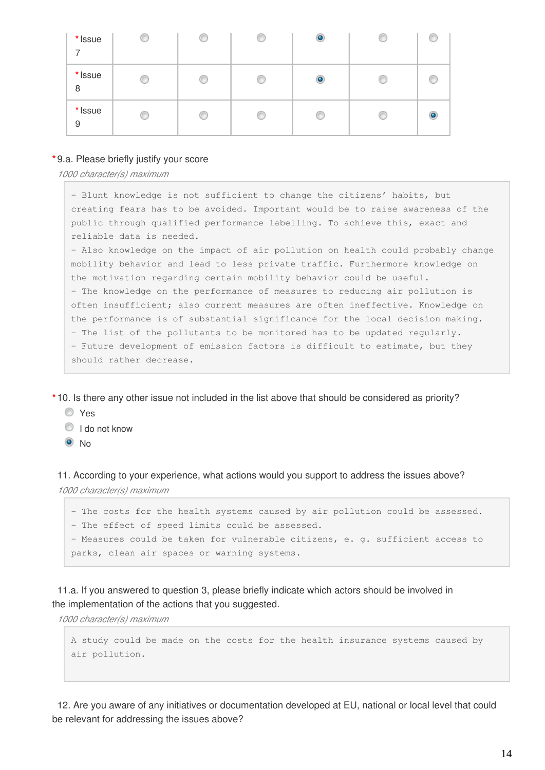| * Issue<br>7 | ⊙ | O | w | $\circledcirc$ | C |   |
|--------------|---|---|---|----------------|---|---|
| * Issue<br>8 | C | C | ◎ | $\circ$        | C |   |
| * Issue<br>9 | 0 | € | ⊙ | O              | O | O |

#### **\*** 9.a. Please briefly justify your score

*1000 character(s) maximum*

- Blunt knowledge is not sufficient to change the citizens' habits, but creating fears has to be avoided. Important would be to raise awareness of the public through qualified performance labelling. To achieve this, exact and reliable data is needed.

- Also knowledge on the impact of air pollution on health could probably change mobility behavior and lead to less private traffic. Furthermore knowledge on the motivation regarding certain mobility behavior could be useful. - The knowledge on the performance of measures to reducing air pollution is often insufficient; also current measures are often ineffective. Knowledge on the performance is of substantial significance for the local decision making. - The list of the pollutants to be monitored has to be updated regularly. - Future development of emission factors is difficult to estimate, but they should rather decrease.

**\*** 10. Is there any other issue not included in the list above that should be considered as priority?

- Yes
- $\textcircled{1}$  I do not know
- $\odot$  No

11. According to your experience, what actions would you support to address the issues above? *1000 character(s) maximum*

- The costs for the health systems caused by air pollution could be assessed. - The effect of speed limits could be assessed. - Measures could be taken for vulnerable citizens, e. g. sufficient access to parks, clean air spaces or warning systems.

11.a. If you answered to question 3, please briefly indicate which actors should be involved in the implementation of the actions that you suggested.

*1000 character(s) maximum*

A study could be made on the costs for the health insurance systems caused by air pollution.

12. Are you aware of any initiatives or documentation developed at EU, national or local level that could be relevant for addressing the issues above?